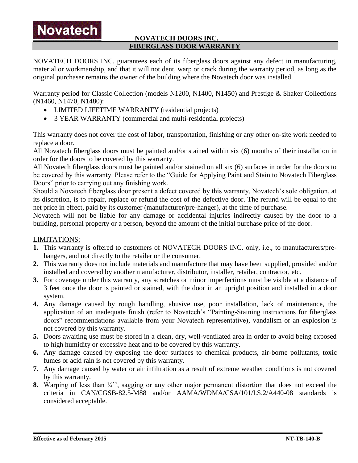## **NOVATECH DOORS INC. FIBERGLASS DOOR WARRANTY**

NOVATECH DOORS INC. guarantees each of its fiberglass doors against any defect in manufacturing, material or workmanship, and that it will not dent, warp or crack during the warranty period, as long as the original purchaser remains the owner of the building where the Novatech door was installed.

Warranty period for Classic Collection (models N1200, N1400, N1450) and Prestige & Shaker Collections (N1460, N1470, N1480):

- LIMITED LIFETIME WARRANTY (residential projects)
- 3 YEAR WARRANTY (commercial and multi-residential projects)

This warranty does not cover the cost of labor, transportation, finishing or any other on-site work needed to replace a door.

All Novatech fiberglass doors must be painted and/or stained within six (6) months of their installation in order for the doors to be covered by this warranty.

All Novatech fiberglass doors must be painted and/or stained on all six (6) surfaces in order for the doors to be covered by this warranty. Please refer to the "Guide for Applying Paint and Stain to Novatech Fiberglass Doors" prior to carrying out any finishing work.

Should a Novatech fiberglass door present a defect covered by this warranty, Novatech's sole obligation, at its discretion, is to repair, replace or refund the cost of the defective door. The refund will be equal to the net price in effect, paid by its customer (manufacturer/pre-hanger), at the time of purchase.

Novatech will not be liable for any damage or accidental injuries indirectly caused by the door to a building, personal property or a person, beyond the amount of the initial purchase price of the door.

## LIMITATIONS:

**Novatech** 

- **1.** This warranty is offered to customers of NOVATECH DOORS INC. only, i.e., to manufacturers/prehangers, and not directly to the retailer or the consumer.
- **2.** This warranty does not include materials and manufacture that may have been supplied, provided and/or installed and covered by another manufacturer, distributor, installer, retailer, contractor, etc.
- **3.** For coverage under this warranty, any scratches or minor imperfections must be visible at a distance of 3 feet once the door is painted or stained, with the door in an upright position and installed in a door system.
- **4.** Any damage caused by rough handling, abusive use, poor installation, lack of maintenance, the application of an inadequate finish (refer to Novatech's "Painting-Staining instructions for fiberglass doors" recommendations available from your Novatech representative), vandalism or an explosion is not covered by this warranty.
- **5.** Doors awaiting use must be stored in a clean, dry, well-ventilated area in order to avoid being exposed to high humidity or excessive heat and to be covered by this warranty.
- **6.** Any damage caused by exposing the door surfaces to chemical products, air-borne pollutants, toxic fumes or acid rain is not covered by this warranty.
- **7.** Any damage caused by water or air infiltration as a result of extreme weather conditions is not covered by this warranty.
- **8.** Warping of less than  $\frac{1}{4}$ , sagging or any other major permanent distortion that does not exceed the criteria in CAN/CGSB-82.5-M88 and/or AAMA/WDMA/CSA/101/I.S.2/A440-08 standards is considered acceptable.